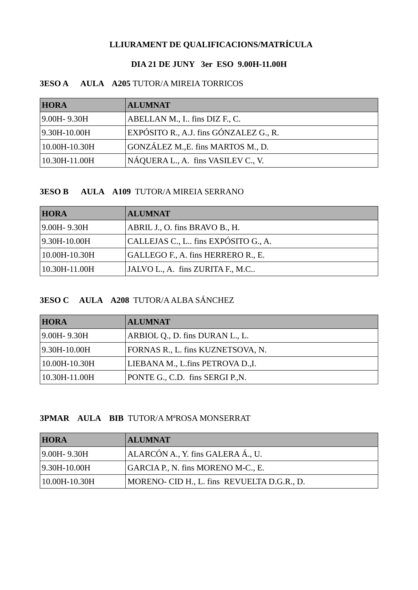# LLIURAMENT DE QUALIFICACIONS/MATRÍCULA

### DIA 21 DE JUNY 3er ESO 9.00H-11.00H

# **3ESO A AULA A205 TUTOR/A MIREIA TORRICOS**

| <b>HORA</b>       | <b>ALUMNAT</b>                         |
|-------------------|----------------------------------------|
| $ 9.00H - 9.30H $ | ABELLAN M., I., fins DIZ F., C.        |
| $ 9.30H-10.00H $  | EXPÓSITO R., A.J. fins GÓNZALEZ G., R. |
| 10.00H-10.30H     | GONZÁLEZ M., E. fins MARTOS M., D.     |
| 10.30H-11.00H     | NÁQUERA L., A. fins VASILEV C., V.     |

### **3ESO B AULA A109 TUTOR/A MIREIA SERRANO**

| <b>HORA</b>       | <b>ALUMNAT</b>                        |
|-------------------|---------------------------------------|
| $ 9.00H - 9.30H $ | ABRIL J., O. fins BRAVO B., H.        |
| $ 9.30H-10.00H $  | CALLEJAS C., L., fins EXPÓSITO G., A. |
| $ 10.00H-10.30H$  | GALLEGO F., A. fins HERRERO R., E.    |
| $10.30H-11.00H$   | JALVO L., A. fins ZURITA F., M.C      |

## 3ESO C AULA A208 TUTOR/A ALBA SÁNCHEZ

| <b>HORA</b>       | <b>ALUMNAT</b>                    |
|-------------------|-----------------------------------|
| $ 9.00H - 9.30H $ | ARBIOL Q., D. fins DURAN L., L.   |
| $ 9.30H-10.00H $  | FORNAS R., L. fins KUZNETSOVA, N. |
| $ 10.00H-10.30H $ | LIEBANA M., L.fins PETROVA D., I. |
| $ 10.30H-11.00H $ | PONTE G., C.D. fins SERGI P., N.  |

## **3PMAR AULA BIB TUTOR/A MªROSA MONSERRAT**

| <b>HORA</b>       | <b>ALUMNAT</b>                              |
|-------------------|---------------------------------------------|
| $ 9.00H - 9.30H $ | ALARCÓN A., Y. fins GALERA Á., U.           |
| $ 9.30H-10.00H $  | GARCIA P., N. fins MORENO M-C., E.          |
| $ 10.00H-10.30H $ | MORENO- CID H., L. fins REVUELTA D.G.R., D. |